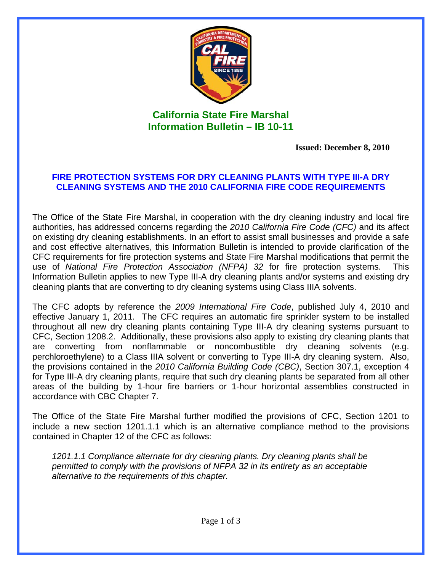

## **California State Fire Marshal Information Bulletin – IB 10-11**

**Issued: December 8, 2010** 

## **FIRE PROTECTION SYSTEMS FOR DRY CLEANING PLANTS WITH TYPE III-A DRY CLEANING SYSTEMS AND THE 2010 CALIFORNIA FIRE CODE REQUIREMENTS**

The Office of the State Fire Marshal, in cooperation with the dry cleaning industry and local fire authorities, has addressed concerns regarding the *2010 California Fire Code (CFC)* and its affect on existing dry cleaning establishments. In an effort to assist small businesses and provide a safe and cost effective alternatives, this Information Bulletin is intended to provide clarification of the CFC requirements for fire protection systems and State Fire Marshal modifications that permit the use of *National Fire Protection Association (NFPA) 32* for fire protection systems. This Information Bulletin applies to new Type III-A dry cleaning plants and/or systems and existing dry cleaning plants that are converting to dry cleaning systems using Class IIIA solvents.

The CFC adopts by reference the *2009 International Fire Code*, published July 4, 2010 and effective January 1, 2011. The CFC requires an automatic fire sprinkler system to be installed throughout all new dry cleaning plants containing Type III-A dry cleaning systems pursuant to CFC, Section 1208.2. Additionally, these provisions also apply to existing dry cleaning plants that are converting from nonflammable or noncombustible dry cleaning solvents (e.g. perchloroethylene) to a Class IIIA solvent or converting to Type III-A dry cleaning system. Also, the provisions contained in the *2010 California Building Code (CBC)*, Section 307.1, exception 4 for Type III-A dry cleaning plants, require that such dry cleaning plants be separated from all other areas of the building by 1-hour fire barriers or 1-hour horizontal assemblies constructed in accordance with CBC Chapter 7.

The Office of the State Fire Marshal further modified the provisions of CFC, Section 1201 to include a new section 1201.1.1 which is an alternative compliance method to the provisions contained in Chapter 12 of the CFC as follows:

*1201.1.1 Compliance alternate for dry cleaning plants. Dry cleaning plants shall be permitted to comply with the provisions of NFPA 32 in its entirety as an acceptable alternative to the requirements of this chapter.*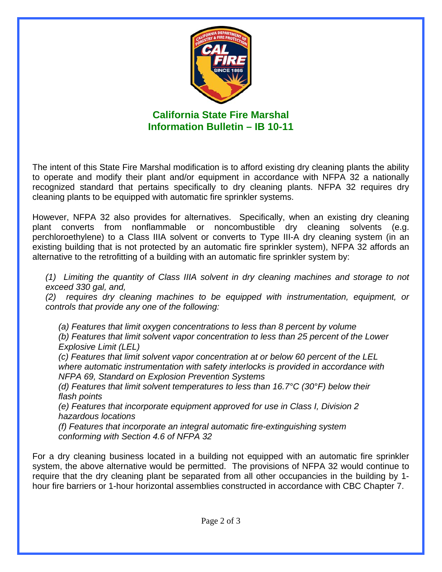

**California State Fire Marshal Information Bulletin – IB 10-11** 

The intent of this State Fire Marshal modification is to afford existing dry cleaning plants the ability to operate and modify their plant and/or equipment in accordance with NFPA 32 a nationally recognized standard that pertains specifically to dry cleaning plants. NFPA 32 requires dry cleaning plants to be equipped with automatic fire sprinkler systems.

However, NFPA 32 also provides for alternatives. Specifically, when an existing dry cleaning plant converts from nonflammable or noncombustible dry cleaning solvents (e.g. perchloroethylene) to a Class IIIA solvent or converts to Type III-A dry cleaning system (in an existing building that is not protected by an automatic fire sprinkler system), NFPA 32 affords an alternative to the retrofitting of a building with an automatic fire sprinkler system by:

*(1) Limiting the quantity of Class IIIA solvent in dry cleaning machines and storage to not exceed 330 gal, and,* 

*(2) requires dry cleaning machines to be equipped with instrumentation, equipment, or controls that provide any one of the following:* 

*(a) Features that limit oxygen concentrations to less than 8 percent by volume (b) Features that limit solvent vapor concentration to less than 25 percent of the Lower Explosive Limit (LEL)* 

*(c) Features that limit solvent vapor concentration at or below 60 percent of the LEL where automatic instrumentation with safety interlocks is provided in accordance with NFPA 69, Standard on Explosion Prevention Systems* 

*(d) Features that limit solvent temperatures to less than 16.7°C (30°F) below their flash points* 

*(e) Features that incorporate equipment approved for use in Class I, Division 2 hazardous locations* 

*(f) Features that incorporate an integral automatic fire-extinguishing system conforming with Section 4.6 of NFPA 32* 

For a dry cleaning business located in a building not equipped with an automatic fire sprinkler system, the above alternative would be permitted. The provisions of NFPA 32 would continue to require that the dry cleaning plant be separated from all other occupancies in the building by 1 hour fire barriers or 1-hour horizontal assemblies constructed in accordance with CBC Chapter 7.